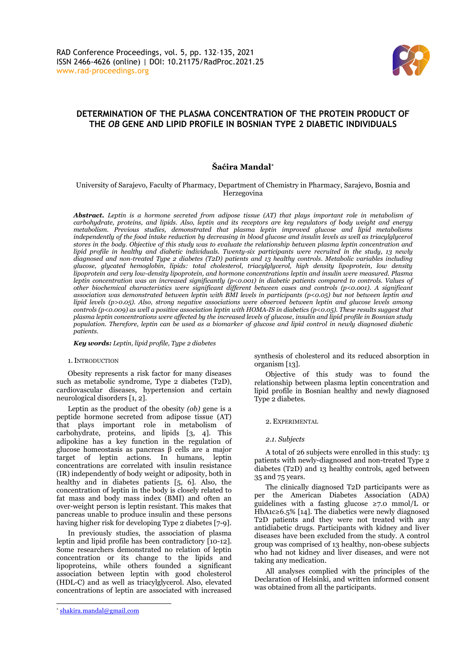

# **DETERMINATION OF THE PLASMA CONCENTRATION OF THE PROTEIN PRODUCT OF THE** *OB* **GENE AND LIPID PROFILE IN BOSNIAN TYPE 2 DIABETIC INDIVIDUALS**

## **Šaćira Mandal\***

## University of Sarajevo, Faculty of Pharmacy, Department of Chemistry in Pharmacy, Sarajevo, Bosnia and Herzegovina

*Abstract. Leptin is a hormone secreted from adipose tissue (AT) that plays important role in metabolism of carbohydrate, proteins, and lipids. Also, leptin and its receptors are key regulators of body weight and energy metabolism. Previous studies, demonstrated that plasma leptin improved glucose and lipid metabolisms independently of the food intake reduction by decreasing in blood glucose and insulin levels as well as triacylglycerol stores in the body. Objective of this study was to evaluate the relationship between plasma leptin concentration and lipid profile in healthy and diabetic individuals. Twenty-six participants were recruited in the study, 13 newly diagnosed and non-treated Type 2 diabetes (T2D) patients and 13 healthy controls. Metabolic variables including glucose, glycated hemoglobin, lipids: total cholesterol, triacylglycerol, high density lipoprotein, low density lipoprotein and very low-density lipoprotein, and hormone concentrations leptin and insulin were measured. Plasma leptin concentration was an increased significantly (p<0.001) in diabetic patients compared to controls. Values of other biochemical characteristics were significant different between cases and controls (p<0.001). A significant association was demonstrated between leptin with BMI levels in participants (p<0.05) but not between leptin and lipid levels (p>0.05). Also, strong negative associations were observed between leptin and glucose levels among controls (p<0.009) as well a positive association leptin with HOMA-IS in diabetics (p<0.05). These results suggest that plasma leptin concentrations were affected by the increased levels of glucose, insulin and lipid profile in Bosnian study population. Therefore, leptin can be used as a biomarker of glucose and lipid control in newly diagnosed diabetic patients.*

#### *Key words: Leptin, lipid profile, Type 2 diabetes*

#### 1.INTRODUCTION

Obesity represents a risk factor for many diseases such as metabolic syndrome, Type 2 diabetes (T2D), cardiovascular diseases, hypertension and certain neurological disorders [1, 2].

Leptin as the product of the obesity *(ob)* gene is a peptide hormone secreted from adipose tissue (AT) that plays important role in metabolism of carbohydrate, proteins, and lipids [3, 4]. This adipokine has a key function in the regulation of glucose homeostasis as pancreas β cells are a major target of leptin actions. In humans, leptin concentrations are correlated with insulin resistance (IR) independently of body weight or adiposity, both in healthy and in diabetes patients [5, 6]. Also, the concentration of leptin in the body is closely related to fat mass and body mass index (BMI) and often an over-weight person is leptin resistant. This makes that pancreas unable to produce insulin and these persons having higher risk for developing Type 2 diabetes [7-9].

In previously studies, the association of plasma leptin and lipid profile has been contradictory [10-12]. Some researchers demonstrated no relation of leptin concentration or its change to the lipids and lipoproteins, while others founded a significant association between leptin with good cholesterol (HDL-C) and as well as triacylglycerol. Also, elevated concentrations of leptin are associated with increased

synthesis of cholesterol and its reduced absorption in organism [13].

Objective of this study was to found the relationship between plasma leptin concentration and lipid profile in Bosnian healthy and newly diagnosed Type 2 diabetes.

## 2. EXPERIMENTAL

*2.1. Subjects*

A total of 26 subjects were enrolled in this study: 13 patients with newly-diagnosed and non-treated Type 2 diabetes (T2D) and 13 healthy controls, aged between 35 and 75 years.

The clinically diagnosed T2D participants were as per the American Diabetes Association (ADA) guidelines with a fasting glucose  $\geq 7.0$  mmol/L or HbA1c≥6.5% [14]. The diabetics were newly diagnosed T2D patients and they were not treated with any antidiabetic drugs. Participants with kidney and liver diseases have been excluded from the study. A control group was comprised of 13 healthy, non-obese subjects who had not kidney and liver diseases, and were not taking any medication.

All analyses complied with the principles of the Declaration of Helsinki, and written informed consent was obtained from all the participants.

<sup>\*</sup> [shakira.mandal@gmail.com](mailto:shakira.mandal@gmail.com)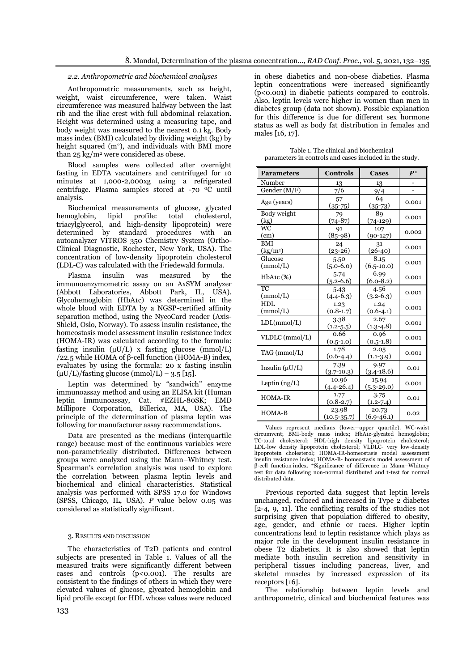## *2.2. Anthropometric and biochemical analyses*

Anthropometric measurements, such as height, weight, waist circumference, were taken. Waist circumference was measured halfway between the last rib and the iliac crest with full abdominal relaxation. Height was determined using a measuring tape, and body weight was measured to the nearest 0.1 kg. Body mass index (BMI) calculated by dividing weight (kg) by height squared  $(m<sup>2</sup>)$ , and individuals with BMI more than  $25 \text{ kg/m}^2$  were considered as obese.

Blood samples were collected after overnight fasting in EDTA vacutainers and centrifuged for 10 minutes at 1,000-2,000xg using a refrigerated centrifuge. Plasma samples stored at -70 <sup>0</sup>C until analysis.

Biochemical measurements of glucose, glycated hemoglobin, lipid profile: total cholesterol, triacylglycerol, and high-density lipoprotein) were determined by standard procedures with an autoanalyzer VITROS 350 Chemistry System (Ortho-Clinical Diagnostic, Rochester, New York, USA). The concentration of low-density lipoprotein cholesterol (LDL-C) was calculated with the Friedewald formula.

Plasma insulin was measured by the immunoenzymometric assay on an AxSYM analyzer (Abbott Laboratories, Abbott Park, IL, USA). Glycohemoglobin (HbA1c) was determined in the whole blood with EDTA by a NGSP-certified affinity separation method, using the NycoCard reader (Axis-Shield, Oslo, Norway). To assess insulin resistance, the homeostasis model assessment insulin resistance index (HOMA-IR) was calculated according to the formula: fasting insulin  $(\mu U/L)$  x fasting glucose (mmol/L) /22.5 while HOMA of β-cell function (HOMA-B) index, evaluates by using the formula: 20 x fasting insulin  $(uU/L)/f$ asting glucose (mmol/L) – 3.5 [15].

Leptin was determined by "sandwich" enzyme immunoassay method and using an ELISA kit (Human leptin Immunoassay, Cat. #EZHL-80SK; EMD Millipore Corporation, Billerica, MA, USA). The principle of the determination of plasma leptin was following for manufacturer assay recommendations.

Data are presented as the medians (interquartile range) because most of the continuous variables were non-parametrically distributed. Differences between groups were analyzed using the Mann–Whitney test. Spearman's correlation analysis was used to explore the correlation between plasma leptin levels and biochemical and clinical characteristics. Statistical analysis was performed with SPSS 17.0 for Windows (SPSS, Chicago, IL, USA). *P* value below 0.05 was considered as statistically significant.

### 3. RESULTS AND DISCUSSION

The characteristics of T2D patients and control subjects are presented in Table 1. Values of all the measured traits were significantly different between cases and controls  $(p<0.001)$ . The results are consistent to the findings of others in which they were elevated values of glucose, glycated hemoglobin and lipid profile except for HDL whose values were reduced

in obese diabetics and non-obese diabetics. Plasma leptin concentrations were increased significantly (p<0.001) in diabetic patients compared to controls. Also, leptin levels were higher in women than men in diabetes group (data not shown). Possible explanation for this difference is due for different sex hormone status as well as body fat distribution in females and males [16, 17].

| <b>Parameters</b>                  | <b>Controls</b>          | <b>Cases</b>            | $\mathbf{p}^*$ |
|------------------------------------|--------------------------|-------------------------|----------------|
| Number                             | 13                       | 13                      |                |
| Gender $(M/F)$                     | 7/6                      | 9/4                     |                |
| Age (years)                        | 57<br>$(35 - 75)$        | 64<br>$(35-73)$         | 0.001          |
| Body weight<br>(kg)                | 79<br>$(74 - 87)$        | 89<br>$(74-129)$        | 0.001          |
| WC<br>(cm)                         | 91<br>$(85-98)$          | 107<br>$(90 - 127)$     | 0.002          |
| <b>BMI</b><br>(kg/m <sup>2</sup> ) | 24<br>$(23-26)$          | 31<br>$(26-40)$         | 0.001          |
| Glucose<br>(mmol/L)                | 5.50<br>$(5.0 - 6.0)$    | 8.15<br>$(6.5 - 10.0)$  | 0.001          |
| HbA1c (%)                          | 5.74<br>$(5.2 - 6.6)$    | 6.99<br>$(6.0 - 8.2)$   | 0.001          |
| <b>TC</b><br>(mmol/L)              | 5.43<br>$(4.4-6.3)$      | 4.56<br>$(3.2 - 6.3)$   | 0.001          |
| HDL<br>(mmol/L)                    | 1.23<br>$(0.8-1.7)$      | 1.24<br>$(0.6-4.1)$     | 0.001          |
| LDL(mmol/L)                        | 3.38<br>$(1.2 - 5.5)$    | 2.67<br>$(1.3 - 4.8)$   | 0.001          |
| VLDLC (mmol/L)                     | 0.66<br>$(0.5-1.0)$      | 0.96<br>$(0.5-1.8)$     | 0.001          |
| TAG (mmol/L)                       | 1.78<br>$(0.6-4.4)$      | 2.05<br>$(1.1-3.9)$     | 0.001          |
| Insulin $(\mu U/L)$                | 7.39<br>$(3.7 - 10.3)$   | 9.97<br>$(3.4 - 18.6)$  | 0.01           |
| Leptin $(ng/L)$                    | 10.96<br>$(4.4 - 26.4)$  | 15.94<br>$(5.3 - 29.0)$ | 0.001          |
| <b>HOMA-IR</b>                     | 1.77<br>$(0.8-2.7)$      | 3.75<br>$(1.2 - 7.4)$   | 0.01           |
| <b>HOMA-B</b>                      | 23.98<br>$(10.5 - 35.7)$ | 20.73<br>$(6.9 - 46.1)$ | 0.02           |

Table 1. The clinical and biochemical parameters in controls and cases included in the study.

Values represent medians (lower–upper quartile). WC-waist circumvent; BMI-body mass index; HbA1c-glycated hemoglobin; TC-total cholesterol; HDL-high density lipoprotein cholesterol; LDL-low density lipoprotein cholesterol; VLDLC- very low-density lipoprotein cholesterol; HOMA-IR-homeostasis model assessment insulin resistance index; HOMA-B- homeostasis model assessment of β-cell function index. \*Significance of difference in Mann–Whitney test for data following non-normal distributed and t-test for normal distributed data.

Previous reported data suggest that leptin levels unchanged, reduced and increased in Type 2 diabetes [2-4, 9, 11]. The conflicting results of the studies not surprising given that population differed to obesity, age, gender, and ethnic or races. Higher leptin concentrations lead to leptin resistance which plays as major role in the development insulin resistance in obese T2 diabetics. It is also showed that leptin mediate both insulin secretion and sensitivity in peripheral tissues including pancreas, liver, and skeletal muscles by increased expression of its receptors [16].

The relationship between leptin levels and anthropometric, clinical and biochemical features was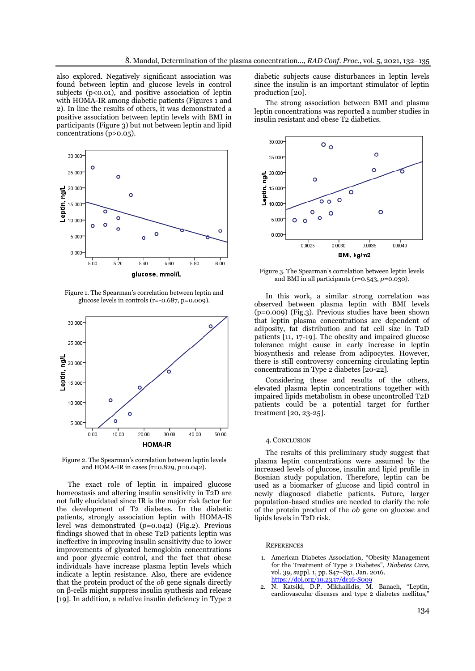also explored. Negatively significant association was found between leptin and glucose levels in control subjects  $(p<0.01)$ , and positive association of leptin with HOMA-IR among diabetic patients (Figures 1 and 2). In line the results of others, it was demonstrated a positive association between leptin levels with BMI in participants (Figure 3) but not between leptin and lipid concentrations (p>0.05).



Figure 1. The Spearman's correlation between leptin and glucose levels in controls (r=-0.687, p=0.009).



Figure 2. The Spearman's correlation between leptin levels and HOMA-IR in cases (r=0.829, *p*=0.042).

The exact role of leptin in impaired glucose homeostasis and altering insulin sensitivity in T2D are not fully elucidated since IR is the major risk factor for the development of T2 diabetes. In the diabetic patients, strongly association leptin with HOMA-IS level was demonstrated (*p*=0.042) (Fig.2). Previous findings showed that in obese T2D patients leptin was ineffective in improving insulin sensitivity due to lower improvements of glycated hemoglobin concentrations and poor glycemic control, and the fact that obese individuals have increase plasma leptin levels which indicate a leptin resistance. Also, there are evidence that the protein product of the *ob* gene signals directly on β-cells might suppress insulin synthesis and release [19]. In addition, a relative insulin deficiency in Type 2

diabetic subjects cause disturbances in leptin levels since the insulin is an important stimulator of leptin production [20].

The strong association between BMI and plasma leptin concentrations was reported a number studies in insulin resistant and obese T2 diabetics.



Figure 3. The Spearman's correlation between leptin levels and BMI in all participants (r=0.543, *p*=0.030).

In this work, a similar strong correlation was observed between plasma leptin with BMI levels (p=0.009) (Fig.3). Previous studies have been shown that leptin plasma concentrations are dependent of adiposity, fat distribution and fat cell size in T2D patients [11, 17-19]. The obesity and impaired glucose tolerance might cause in early increase in leptin biosynthesis and release from adipocytes. However, there is still controversy concerning circulating leptin concentrations in Type 2 diabetes [20-22].

Considering these and results of the others, elevated plasma leptin concentrations together with impaired lipids metabolism in obese uncontrolled T2D patients could be a potential target for further treatment [20, 23-25].

#### 4. CONCLUSION

The results of this preliminary study suggest that plasma leptin concentrations were assumed by the increased levels of glucose, insulin and lipid profile in Bosnian study population. Therefore, leptin can be used as a biomarker of glucose and lipid control in newly diagnosed diabetic patients. Future, larger population-based studies are needed to clarify the role of the protein product of the *ob* gene on glucose and lipids levels in T2D risk.

#### **REFERENCES**

- 1. American Diabetes Association, "Obesity Management for the Treatment of Type 2 Diabetes", *Diabetes Care*, vol. 39, suppl. 1, pp. S47–S51, Jan. 2016. <https://doi.org/10.2337/dc16-S009>
- 2. N. Katsiki, D.P. Mikhailidis, M. Banach, "Leptin, cardiovascular diseases and type 2 diabetes mellitus,"